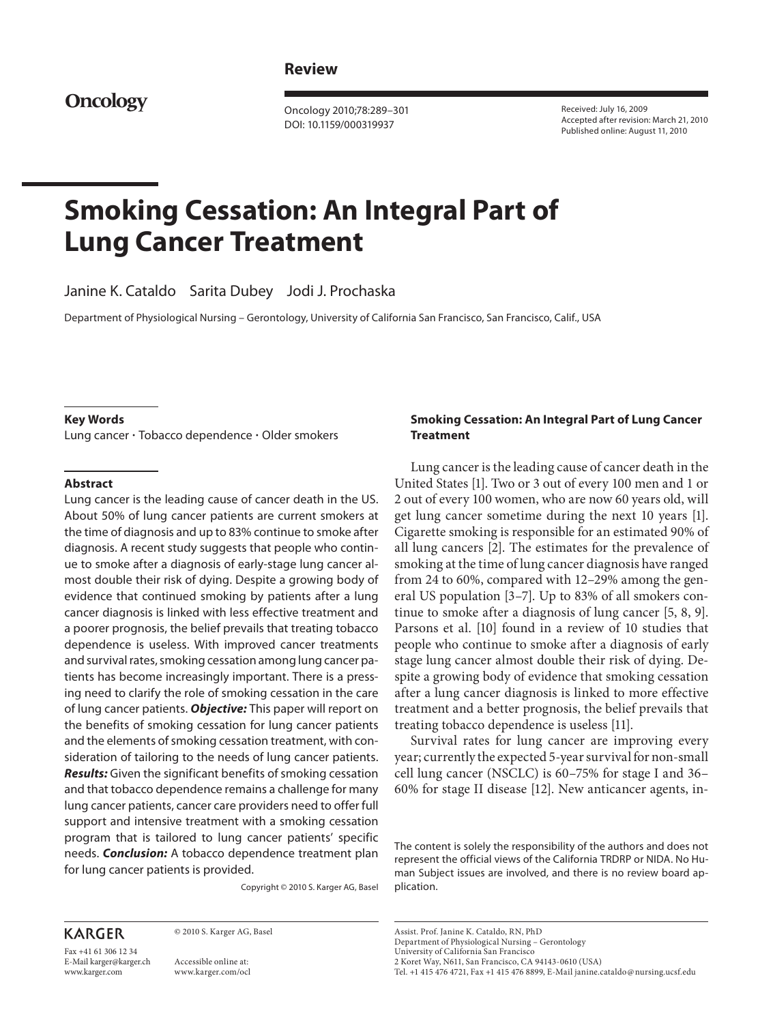# **Review**

**Oncology**

 Oncology 2010;78:289–301 DOI: 10.1159/000319937

 Received: July 16, 2009 Accepted after revision: March 21, 2010 Published online: August 11, 2010

# **Smoking Cessation: An Integral Part of Lung Cancer Treatment**

Janine K. Cataldo Sarita Dubey Jodi J. Prochaska

Department of Physiological Nursing - Gerontology, University of California San Francisco, San Francisco, Calif., USA

#### **Key Words**

Lung cancer - Tobacco dependence - Older smokers

#### **Abstract**

 Lung cancer is the leading cause of cancer death in the US. About 50% of lung cancer patients are current smokers at the time of diagnosis and up to 83% continue to smoke after diagnosis. A recent study suggests that people who continue to smoke after a diagnosis of early-stage lung cancer almost double their risk of dying. Despite a growing body of evidence that continued smoking by patients after a lung cancer diagnosis is linked with less effective treatment and a poorer prognosis, the belief prevails that treating tobacco dependence is useless. With improved cancer treatments and survival rates, smoking cessation among lung cancer patients has become increasingly important. There is a pressing need to clarify the role of smoking cessation in the care of lung cancer patients. *Objective:* This paper will report on the benefits of smoking cessation for lung cancer patients and the elements of smoking cessation treatment, with consideration of tailoring to the needs of lung cancer patients. *Results:* Given the significant benefits of smoking cessation and that tobacco dependence remains a challenge for many lung cancer patients, cancer care providers need to offer full support and intensive treatment with a smoking cessation program that is tailored to lung cancer patients' specific needs. *Conclusion:* A tobacco dependence treatment plan for lung cancer patients is provided.

Copyright © 2010 S. Karger AG, Basel

# **KARGER**

Fax +41 61 306 12 34 E-Mail karger@karger.ch www.karger.com

 © 2010 S. Karger AG, Basel Accessible online at:

# www.karger.com/ocl

#### **Smoking Cessation: An Integral Part of Lung Cancer Treatment**

 Lung cancer is the leading cause of cancer death in the United States [1]. Two or 3 out of every 100 men and 1 or 2 out of every 100 women, who are now 60 years old, will get lung cancer sometime during the next 10 years [1]. Cigarette smoking is responsible for an estimated 90% of all lung cancers [2]. The estimates for the prevalence of smoking at the time of lung cancer diagnosis have ranged from 24 to 60%, compared with 12–29% among the general US population [3–7] . Up to 83% of all smokers continue to smoke after a diagnosis of lung cancer [5, 8, 9]. Parsons et al. [10] found in a review of 10 studies that people who continue to smoke after a diagnosis of early stage lung cancer almost double their risk of dying. Despite a growing body of evidence that smoking cessation after a lung cancer diagnosis is linked to more effective treatment and a better prognosis, the belief prevails that treating tobacco dependence is useless [11] .

 Survival rates for lung cancer are improving every year; currently the expected 5-year survival for non-small cell lung cancer (NSCLC) is 60–75% for stage I and 36– 60% for stage II disease [12] . New anticancer agents, in-

 The content is solely the responsibility of the authors and does not represent the official views of the California TRDRP or NIDA. No Human Subject issues are involved, and there is no review board application.

Department of Physiological Nursing – Gerontology

 University of California San Francisco 2 Koret Way, N611, San Francisco, CA 94143-0610 (USA)

Tel. +1 415 476 4721, Fax +1 415 476 8899, E-Mail janine.cataldo @ nursing.ucsf.edu

Assist. Prof. Janine K. Cataldo, RN, PhD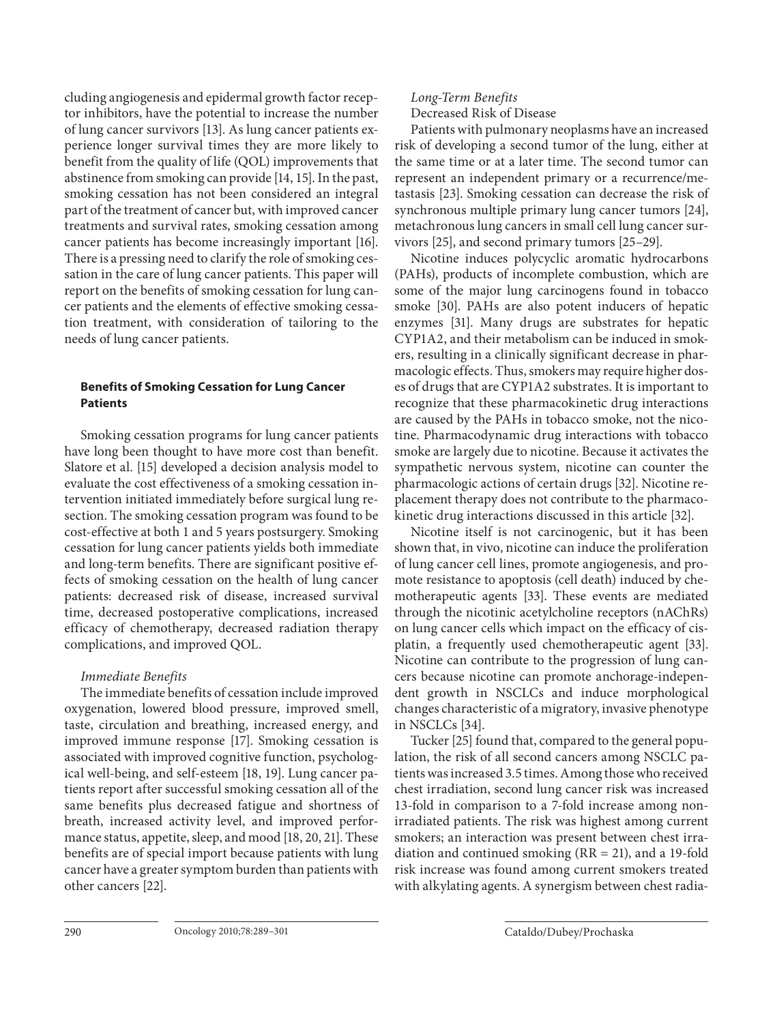cluding angiogenesis and epidermal growth factor receptor inhibitors, have the potential to increase the number of lung cancer survivors [13] . As lung cancer patients experience longer survival times they are more likely to benefit from the quality of life (QOL) improvements that abstinence from smoking can provide [14, 15]. In the past, smoking cessation has not been considered an integral part of the treatment of cancer but, with improved cancer treatments and survival rates, smoking cessation among cancer patients has become increasingly important [16] . There is a pressing need to clarify the role of smoking cessation in the care of lung cancer patients. This paper will report on the benefits of smoking cessation for lung cancer patients and the elements of effective smoking cessation treatment, with consideration of tailoring to the needs of lung cancer patients.

# **Benefits of Smoking Cessation for Lung Cancer Patients**

 Smoking cessation programs for lung cancer patients have long been thought to have more cost than benefit. Slatore et al. [15] developed a decision analysis model to evaluate the cost effectiveness of a smoking cessation intervention initiated immediately before surgical lung resection. The smoking cessation program was found to be cost-effective at both 1 and 5 years postsurgery. Smoking cessation for lung cancer patients yields both immediate and long-term benefits. There are significant positive effects of smoking cessation on the health of lung cancer patients: decreased risk of disease, increased survival time, decreased postoperative complications, increased efficacy of chemotherapy, decreased radiation therapy complications, and improved QOL.

# Immediate Benefits

 The immediate benefits of cessation include improved oxygenation, lowered blood pressure, improved smell, taste, circulation and breathing, increased energy, and improved immune response [17]. Smoking cessation is associated with improved cognitive function, psychological well-being, and self-esteem [18, 19]. Lung cancer patients report after successful smoking cessation all of the same benefits plus decreased fatigue and shortness of breath, increased activity level, and improved performance status, appetite, sleep, and mood [18, 20, 21]. These benefits are of special import because patients with lung cancer have a greater symptom burden than patients with other cancers [22].

# Long-Term Benefits Decreased Risk of Disease

 Patients with pulmonary neoplasms have an increased risk of developing a second tumor of the lung, either at the same time or at a later time. The second tumor can represent an independent primary or a recurrence/metastasis [23]. Smoking cessation can decrease the risk of synchronous multiple primary lung cancer tumors [24], metachronous lung cancers in small cell lung cancer survivors [25], and second primary tumors [25–29].

 Nicotine induces polycyclic aromatic hydrocarbons (PAHs), products of incomplete combustion, which are some of the major lung carcinogens found in tobacco smoke [30]. PAHs are also potent inducers of hepatic enzymes [31]. Many drugs are substrates for hepatic CYP1A2, and their metabolism can be induced in smokers, resulting in a clinically significant decrease in pharmacologic effects. Thus, smokers may require higher doses of drugs that are CYP1A2 substrates. It is important to recognize that these pharmacokinetic drug interactions are caused by the PAHs in tobacco smoke, not the nicotine. Pharmacodynamic drug interactions with tobacco smoke are largely due to nicotine. Because it activates the sympathetic nervous system, nicotine can counter the pharmacologic actions of certain drugs [32] . Nicotine replacement therapy does not contribute to the pharmacokinetic drug interactions discussed in this article [32] .

 Nicotine itself is not carcinogenic, but it has been shown that, in vivo, nicotine can induce the proliferation of lung cancer cell lines, promote angiogenesis, and promote resistance to apoptosis (cell death) induced by chemotherapeutic agents [33]. These events are mediated through the nicotinic acetylcholine receptors (nAChRs) on lung cancer cells which impact on the efficacy of cisplatin, a frequently used chemotherapeutic agent [33]. Nicotine can contribute to the progression of lung cancers because nicotine can promote anchorage-independent growth in NSCLCs and induce morphological changes characteristic of a migratory, invasive phenotype in NSCLCs  $|34|$ .

Tucker [25] found that, compared to the general population, the risk of all second cancers among NSCLC patients was increased 3.5 times. Among those who received chest irradiation, second lung cancer risk was increased 13-fold in comparison to a 7-fold increase among nonirradiated patients. The risk was highest among current smokers; an interaction was present between chest irradiation and continued smoking  $(RR = 21)$ , and a 19-fold risk increase was found among current smokers treated with alkylating agents. A synergism between chest radia-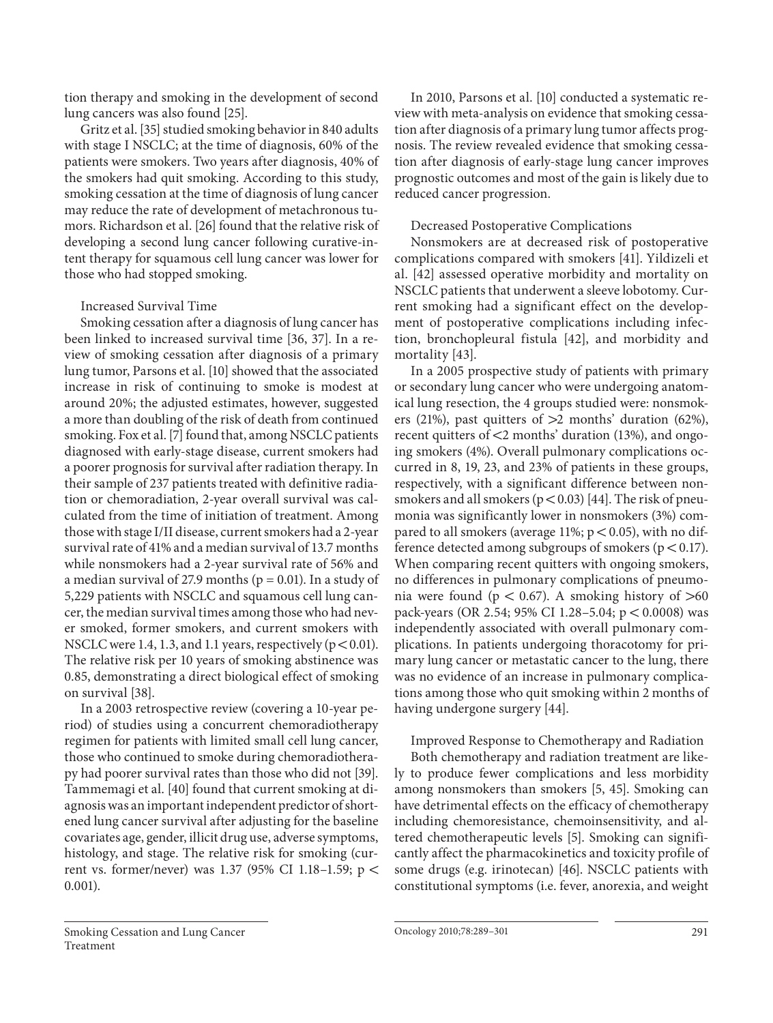tion therapy and smoking in the development of second lung cancers was also found [25] .

Gritz et al. [35] studied smoking behavior in 840 adults with stage I NSCLC; at the time of diagnosis, 60% of the patients were smokers. Two years after diagnosis, 40% of the smokers had quit smoking. According to this study, smoking cessation at the time of diagnosis of lung cancer may reduce the rate of development of metachronous tumors. Richardson et al. [26] found that the relative risk of developing a second lung cancer following curative-intent therapy for squamous cell lung cancer was lower for those who had stopped smoking.

#### Increased Survival Time

 Smoking cessation after a diagnosis of lung cancer has been linked to increased survival time [36, 37]. In a review of smoking cessation after diagnosis of a primary lung tumor, Parsons et al. [10] showed that the associated increase in risk of continuing to smoke is modest at around 20%; the adjusted estimates, however, suggested a more than doubling of the risk of death from continued smoking. Fox et al. [7] found that, among NSCLC patients diagnosed with early-stage disease, current smokers had a poorer prognosis for survival after radiation therapy. In their sample of 237 patients treated with definitive radiation or chemoradiation, 2-year overall survival was calculated from the time of initiation of treatment. Among those with stage I/II disease, current smokers had a 2-year survival rate of 41% and a median survival of 13.7 months while nonsmokers had a 2-year survival rate of 56% and a median survival of 27.9 months ( $p = 0.01$ ). In a study of 5,229 patients with NSCLC and squamous cell lung cancer, the median survival times among those who had never smoked, former smokers, and current smokers with NSCLC were 1.4, 1.3, and 1.1 years, respectively ( $p < 0.01$ ). The relative risk per 10 years of smoking abstinence was 0.85, demonstrating a direct biological effect of smoking on survival [38].

 In a 2003 retrospective review (covering a 10-year period) of studies using a concurrent chemoradiotherapy regimen for patients with limited small cell lung cancer, those who continued to smoke during chemoradiotherapy had poorer survival rates than those who did not [39] . Tammemagi et al. [40] found that current smoking at diagnosis was an important independent predictor of shortened lung cancer survival after adjusting for the baseline covariates age, gender, illicit drug use, adverse symptoms, histology, and stage. The relative risk for smoking (current vs. former/never) was 1.37 (95% CI 1.18–1.59;  $p <$ 0.001).

In 2010, Parsons et al. [10] conducted a systematic review with meta-analysis on evidence that smoking cessation after diagnosis of a primary lung tumor affects prognosis. The review revealed evidence that smoking cessation after diagnosis of early-stage lung cancer improves prognostic outcomes and most of the gain is likely due to reduced cancer progression.

#### Decreased Postoperative Complications

 Nonsmokers are at decreased risk of postoperative complications compared with smokers [41] . Yildizeli et al. [42] assessed operative morbidity and mortality on NSCLC patients that underwent a sleeve lobotomy. Current smoking had a significant effect on the development of postoperative complications including infection, bronchopleural fistula [42], and morbidity and mortality [43].

 In a 2005 prospective study of patients with primary or secondary lung cancer who were undergoing anatomical lung resection, the 4 groups studied were: nonsmokers (21%), past quitters of  $>2$  months' duration (62%), recent quitters of  $\leq$ 2 months' duration (13%), and ongoing smokers (4%). Overall pulmonary complications occurred in 8, 19, 23, and 23% of patients in these groups, respectively, with a significant difference between nonsmokers and all smokers ( $p < 0.03$ ) [44]. The risk of pneumonia was significantly lower in nonsmokers (3%) compared to all smokers (average 11%;  $p < 0.05$ ), with no difference detected among subgroups of smokers ( $p < 0.17$ ). When comparing recent quitters with ongoing smokers, no differences in pulmonary complications of pneumonia were found ( $p < 0.67$ ). A smoking history of  $> 60$ pack-years (OR 2.54; 95% CI 1.28-5.04; p < 0.0008) was independently associated with overall pulmonary complications. In patients undergoing thoracotomy for primary lung cancer or metastatic cancer to the lung, there was no evidence of an increase in pulmonary complications among those who quit smoking within 2 months of having undergone surgery [44].

 Improved Response to Chemotherapy and Radiation Both chemotherapy and radiation treatment are like ly to produce fewer complications and less morbidity among nonsmokers than smokers [5, 45]. Smoking can have detrimental effects on the efficacy of chemotherapy including chemoresistance, chemoinsensitivity, and altered chemotherapeutic levels [5]. Smoking can significantly affect the pharmacokinetics and toxicity profile of some drugs (e.g. irinotecan) [46]. NSCLC patients with constitutional symptoms (i.e. fever, anorexia, and weight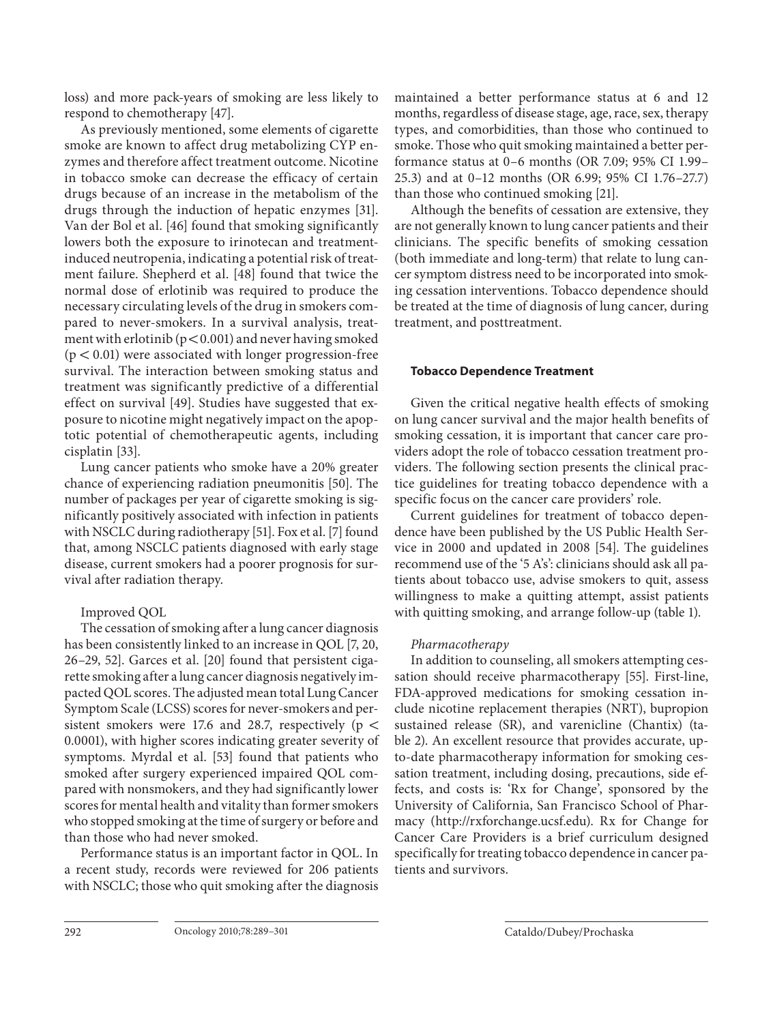loss) and more pack-years of smoking are less likely to respond to chemotherapy [47].

 As previously mentioned, some elements of cigarette smoke are known to affect drug metabolizing CYP enzymes and therefore affect treatment outcome. Nicotine in tobacco smoke can decrease the efficacy of certain drugs because of an increase in the metabolism of the drugs through the induction of hepatic enzymes [31] . Van der Bol et al. [46] found that smoking significantly lowers both the exposure to irinotecan and treatmentinduced neutropenia, indicating a potential risk of treatment failure. Shepherd et al. [48] found that twice the normal dose of erlotinib was required to produce the necessary circulating levels of the drug in smokers compared to never-smokers. In a survival analysis, treatment with erlotinib ( $p < 0.001$ ) and never having smoked  $(p < 0.01)$  were associated with longer progression-free survival. The interaction between smoking status and treatment was significantly predictive of a differential effect on survival [49]. Studies have suggested that exposure to nicotine might negatively impact on the apoptotic potential of chemotherapeutic agents, including cisplatin [33].

 Lung cancer patients who smoke have a 20% greater chance of experiencing radiation pneumonitis [50]. The number of packages per year of cigarette smoking is significantly positively associated with infection in patients with NSCLC during radiotherapy [51]. Fox et al. [7] found that, among NSCLC patients diagnosed with early stage disease, current smokers had a poorer prognosis for survival after radiation therapy.

# Improved QOL

 The cessation of smoking after a lung cancer diagnosis has been consistently linked to an increase in QOL [7, 20, 26-29, 52]. Garces et al. [20] found that persistent cigarette smoking after a lung cancer diagnosis negatively impacted QOL scores. The adjusted mean total Lung Cancer Symptom Scale (LCSS) scores for never-smokers and persistent smokers were 17.6 and 28.7, respectively ( $p <$ 0.0001), with higher scores indicating greater severity of symptoms. Myrdal et al. [53] found that patients who smoked after surgery experienced impaired QOL compared with nonsmokers, and they had significantly lower scores for mental health and vitality than former smokers who stopped smoking at the time of surgery or before and than those who had never smoked.

 Performance status is an important factor in QOL. In a recent study, records were reviewed for 206 patients with NSCLC; those who quit smoking after the diagnosis maintained a better performance status at 6 and 12 months, regardless of disease stage, age, race, sex, therapy types, and comorbidities, than those who continued to smoke. Those who quit smoking maintained a better performance status at 0–6 months (OR 7.09; 95% CI 1.99– 25.3) and at 0–12 months (OR 6.99; 95% CI 1.76–27.7) than those who continued smoking [21] .

 Although the benefits of cessation are extensive, they are not generally known to lung cancer patients and their clinicians. The specific benefits of smoking cessation (both immediate and long-term) that relate to lung cancer symptom distress need to be incorporated into smoking cessation interventions. Tobacco dependence should be treated at the time of diagnosis of lung cancer, during treatment, and posttreatment.

#### **Tobacco Dependence Treatment**

 Given the critical negative health effects of smoking on lung cancer survival and the major health benefits of smoking cessation, it is important that cancer care providers adopt the role of tobacco cessation treatment providers. The following section presents the clinical practice guidelines for treating tobacco dependence with a specific focus on the cancer care providers' role.

 Current guidelines for treatment of tobacco dependence have been published by the US Public Health Service in 2000 and updated in 2008 [54]. The guidelines recommend use of the '5 A's': clinicians should ask all patients about tobacco use, advise smokers to quit, assess willingness to make a quitting attempt, assist patients with quitting smoking, and arrange follow-up (table 1).

# Pharmacotherapy

 In addition to counseling, all smokers attempting cessation should receive pharmacotherapy [55]. First-line, FDA-approved medications for smoking cessation include nicotine replacement therapies (NRT), bupropion sustained release (SR), and varenicline (Chantix) (table 2). An excellent resource that provides accurate, upto-date pharmacotherapy information for smoking cessation treatment, including dosing, precautions, side effects, and costs is: 'Rx for Change', sponsored by the University of California, San Francisco School of Pharmacy (http://rxforchange.ucsf.edu). Rx for Change for Cancer Care Providers is a brief curriculum designed specifically for treating tobacco dependence in cancer patients and survivors.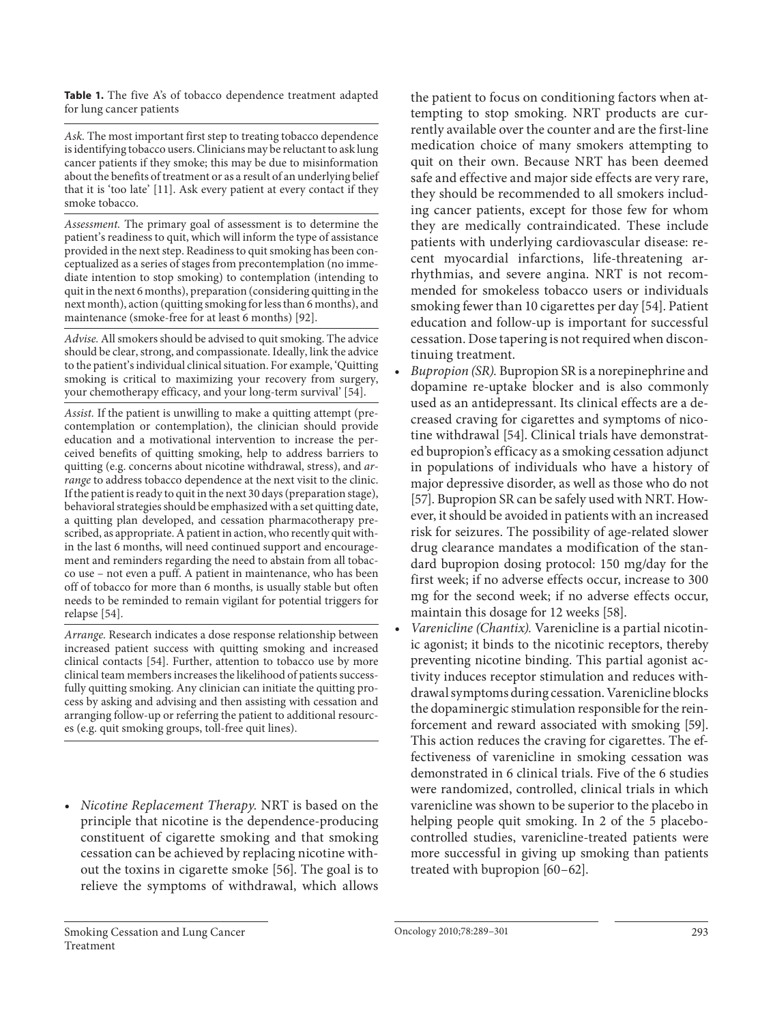Table 1. The five A's of tobacco dependence treatment adapted for lung cancer patients

 Ask. The most important first step to treating tobacco dependence is identifying tobacco users. Clinicians may be reluctant to ask lung cancer patients if they smoke; this may be due to misinformation about the benefits of treatment or as a result of an underlying belief that it is 'too late' [11]. Ask every patient at every contact if they smoke tobacco.

 Assessment. The primary goal of assessment is to determine the patient's readiness to quit, which will inform the type of assistance provided in the next step. Readiness to quit smoking has been conceptualized as a series of stages from precontemplation (no immediate intention to stop smoking) to contemplation (intending to quit in the next 6 months), preparation (considering quitting in the next month), action (quitting smoking for less than 6 months), and maintenance (smoke-free for at least 6 months) [92].

 Advise. All smokers should be advised to quit smoking. The advice should be clear, strong, and compassionate. Ideally, link the advice to the patient's individual clinical situation. For example, 'Quitting smoking is critical to maximizing your recovery from surgery, your chemotherapy efficacy, and your long-term survival' [54].

 Assist. If the patient is unwilling to make a quitting attempt (precontemplation or contemplation), the clinician should provide education and a motivational intervention to increase the perceived benefits of quitting smoking, help to address barriers to quitting (e.g. concerns about nicotine withdrawal, stress), and arrange to address tobacco dependence at the next visit to the clinic. If the patient is ready to quit in the next 30 days (preparation stage), behavioral strategies should be emphasized with a set quitting date, a quitting plan developed, and cessation pharmacotherapy prescribed, as appropriate. A patient in action, who recently quit within the last 6 months, will need continued support and encouragement and reminders regarding the need to abstain from all tobacco use – not even a puff. A patient in maintenance, who has been off of tobacco for more than 6 months, is usually stable but often needs to be reminded to remain vigilant for potential triggers for relapse [54].

 Arrange. Research indicates a dose response relationship between increased patient success with quitting smoking and increased clinical contacts [54]. Further, attention to tobacco use by more clinical team members increases the likelihood of patients successfully quitting smoking. Any clinician can initiate the quitting process by asking and advising and then assisting with cessation and arranging follow-up or referring the patient to additional resources (e.g. quit smoking groups, toll-free quit lines).

 • Nicotine Replacement Therapy. NRT is based on the principle that nicotine is the dependence-producing constituent of cigarette smoking and that smoking cessation can be achieved by replacing nicotine without the toxins in cigarette smoke [56]. The goal is to relieve the symptoms of withdrawal, which allows

the patient to focus on conditioning factors when attempting to stop smoking. NRT products are currently available over the counter and are the first-line medication choice of many smokers attempting to quit on their own. Because NRT has been deemed safe and effective and major side effects are very rare, they should be recommended to all smokers including cancer patients, except for those few for whom they are medically contraindicated. These include patients with underlying cardiovascular disease: recent myocardial infarctions, life-threatening arrhythmias, and severe angina. NRT is not recommended for smokeless tobacco users or individuals smoking fewer than 10 cigarettes per day [54] . Patient education and follow-up is important for successful cessation. Dose tapering is not required when discontinuing treatment.

- Bupropion (SR). Bupropion SR is a norepinephrine and dopamine re-uptake blocker and is also commonly used as an antidepressant. Its clinical effects are a decreased craving for cigarettes and symptoms of nicotine withdrawal [54]. Clinical trials have demonstrated bupropion's efficacy as a smoking cessation adjunct in populations of individuals who have a history of major depressive disorder, as well as those who do not [57]. Bupropion SR can be safely used with NRT. However, it should be avoided in patients with an increased risk for seizures. The possibility of age-related slower drug clearance mandates a modification of the standard bupropion dosing protocol: 150 mg/day for the first week; if no adverse effects occur, increase to 300 mg for the second week; if no adverse effects occur, maintain this dosage for 12 weeks [58].
- Varenicline (Chantix). Varenicline is a partial nicotinic agonist; it binds to the nicotinic receptors, thereby preventing nicotine binding. This partial agonist activity induces receptor stimulation and reduces withdrawal symptoms during cessation. Varenicline blocks the dopaminergic stimulation responsible for the reinforcement and reward associated with smoking [59]. This action reduces the craving for cigarettes. The effectiveness of varenicline in smoking cessation was demonstrated in 6 clinical trials. Five of the 6 studies were randomized, controlled, clinical trials in which varenicline was shown to be superior to the placebo in helping people quit smoking. In 2 of the 5 placebocontrolled studies, varenicline-treated patients were more successful in giving up smoking than patients treated with bupropion [60–62] .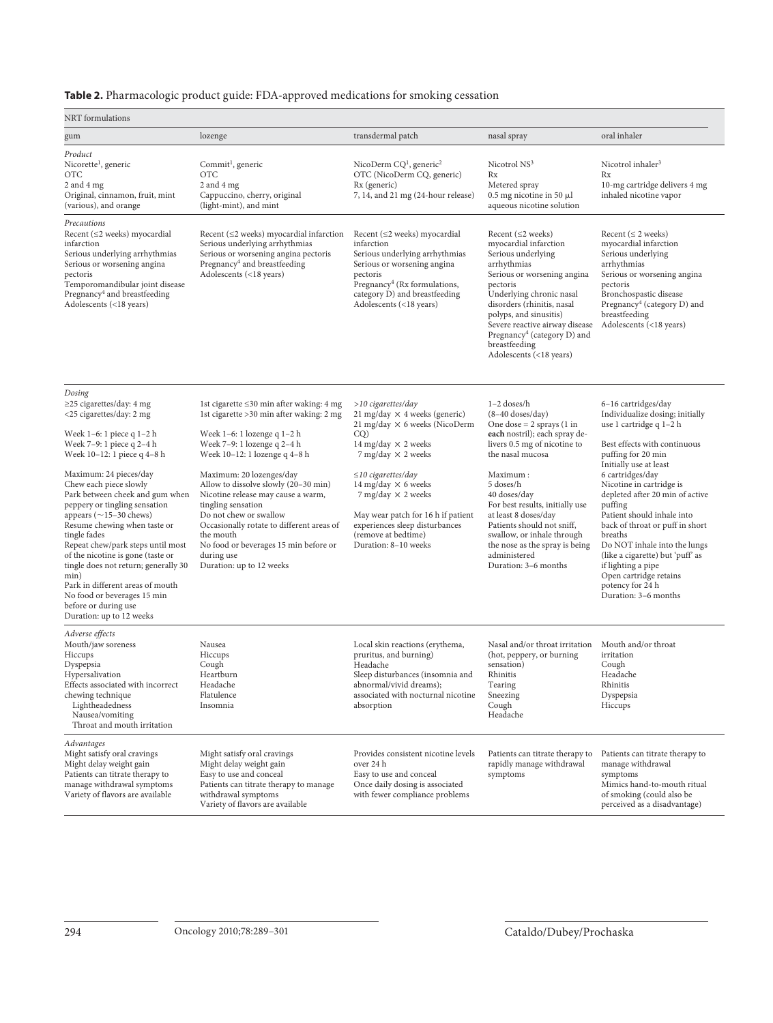**Table 2.** Pharmacologic product guide: FDA-approved medications for smoking cessation

| NRT formulations                                                                                                                                                                                                                                                                                                                                                                                                                                                                                                                                                                                                        |                                                                                                                                                                                                                                                                                                                                                                                                                                                                                             |                                                                                                                                                                                                                                                                                                                                                                               |                                                                                                                                                                                                                                                                                                                                                                                                             |                                                                                                                                                                                                                                                                                                                                                                                                                                                                                                             |  |  |
|-------------------------------------------------------------------------------------------------------------------------------------------------------------------------------------------------------------------------------------------------------------------------------------------------------------------------------------------------------------------------------------------------------------------------------------------------------------------------------------------------------------------------------------------------------------------------------------------------------------------------|---------------------------------------------------------------------------------------------------------------------------------------------------------------------------------------------------------------------------------------------------------------------------------------------------------------------------------------------------------------------------------------------------------------------------------------------------------------------------------------------|-------------------------------------------------------------------------------------------------------------------------------------------------------------------------------------------------------------------------------------------------------------------------------------------------------------------------------------------------------------------------------|-------------------------------------------------------------------------------------------------------------------------------------------------------------------------------------------------------------------------------------------------------------------------------------------------------------------------------------------------------------------------------------------------------------|-------------------------------------------------------------------------------------------------------------------------------------------------------------------------------------------------------------------------------------------------------------------------------------------------------------------------------------------------------------------------------------------------------------------------------------------------------------------------------------------------------------|--|--|
| gum                                                                                                                                                                                                                                                                                                                                                                                                                                                                                                                                                                                                                     | lozenge                                                                                                                                                                                                                                                                                                                                                                                                                                                                                     | transdermal patch                                                                                                                                                                                                                                                                                                                                                             | nasal spray                                                                                                                                                                                                                                                                                                                                                                                                 | oral inhaler                                                                                                                                                                                                                                                                                                                                                                                                                                                                                                |  |  |
| Product<br>Nicorette <sup>1</sup> , generic<br><b>OTC</b><br>$2$ and $4$ mg<br>Original, cinnamon, fruit, mint<br>(various), and orange                                                                                                                                                                                                                                                                                                                                                                                                                                                                                 | Commit <sup>1</sup> , generic<br><b>OTC</b><br>2 and 4 mg<br>Cappuccino, cherry, original<br>(light-mint), and mint                                                                                                                                                                                                                                                                                                                                                                         | NicoDerm $CQ1$ , generic <sup>2</sup><br>OTC (NicoDerm CQ, generic)<br>Rx (generic)<br>7, 14, and 21 mg (24-hour release)                                                                                                                                                                                                                                                     | Nicotrol NS <sup>3</sup><br>Rx<br>Metered spray<br>$0.5$ mg nicotine in 50 $\mu$ l<br>aqueous nicotine solution                                                                                                                                                                                                                                                                                             | Nicotrol inhaler <sup>3</sup><br>Rx<br>10-mg cartridge delivers 4 mg<br>inhaled nicotine vapor                                                                                                                                                                                                                                                                                                                                                                                                              |  |  |
| Precautions<br>Recent $(\leq 2$ weeks) myocardial<br>infarction<br>Serious underlying arrhythmias<br>Serious or worsening angina<br>pectoris<br>Temporomandibular joint disease<br>Pregnancy <sup>4</sup> and breastfeeding<br>Adolescents (<18 years)                                                                                                                                                                                                                                                                                                                                                                  | Recent $(\leq 2$ weeks) myocardial infarction<br>Serious underlying arrhythmias<br>Serious or worsening angina pectoris<br>Pregnancy <sup>4</sup> and breastfeeding<br>Adolescents (<18 years)                                                                                                                                                                                                                                                                                              | Recent $(\leq 2$ weeks) myocardial<br>infarction<br>Serious underlying arrhythmias<br>Serious or worsening angina<br>pectoris<br>Pregnancy <sup>4</sup> (Rx formulations,<br>category D) and breastfeeding<br>Adolescents (<18 years)                                                                                                                                         | Recent $(\leq 2$ weeks)<br>myocardial infarction<br>Serious underlying<br>arrhythmias<br>Serious or worsening angina<br>pectoris<br>Underlying chronic nasal<br>disorders (rhinitis, nasal<br>polyps, and sinusitis)<br>Severe reactive airway disease<br>Pregnancy <sup>4</sup> (category D) and<br>breastfeeding<br>Adolescents (<18 years)                                                               | Recent ( $\leq$ 2 weeks)<br>myocardial infarction<br>Serious underlying<br>arrhythmias<br>Serious or worsening angina<br>pectoris<br>Bronchospastic disease<br>Pregnancy <sup>4</sup> (category D) and<br>breastfeeding<br>Adolescents (<18 years)                                                                                                                                                                                                                                                          |  |  |
| Dosing<br>$\geq$ 25 cigarettes/day: 4 mg<br><25 cigarettes/day: 2 mg<br>Week 1-6: 1 piece q 1-2 h<br>Week 7-9: 1 piece q 2-4 h<br>Week 10-12: 1 piece q 4-8 h<br>Maximum: 24 pieces/day<br>Chew each piece slowly<br>Park between cheek and gum when<br>peppery or tingling sensation<br>appears ( $\sim$ 15-30 chews)<br>Resume chewing when taste or<br>tingle fades<br>Repeat chew/park steps until most<br>of the nicotine is gone (taste or<br>tingle does not return; generally 30<br>min)<br>Park in different areas of mouth<br>No food or beverages 15 min<br>before or during use<br>Duration: up to 12 weeks | 1st cigarette ≤30 min after waking: 4 mg<br>1st cigarette > 30 min after waking: 2 mg<br>Week 1-6: 1 lozenge q 1-2 h<br>Week 7-9: 1 lozenge q 2-4 h<br>Week 10-12: 1 lozenge q 4-8 h<br>Maximum: 20 lozenges/day<br>Allow to dissolve slowly (20-30 min)<br>Nicotine release may cause a warm,<br>tingling sensation<br>Do not chew or swallow<br>Occasionally rotate to different areas of<br>the mouth<br>No food or beverages 15 min before or<br>during use<br>Duration: up to 12 weeks | $>10$ cigarettes/day<br>21 mg/day $\times$ 4 weeks (generic)<br>21 mg/day $\times$ 6 weeks (NicoDerm<br>CO)<br>14 mg/day $\times$ 2 weeks<br>7 mg/day $\times$ 2 weeks<br>$\leq$ 10 cigarettes/day<br>14 mg/day $\times$ 6 weeks<br>7 mg/day × 2 weeks<br>May wear patch for 16 h if patient<br>experiences sleep disturbances<br>(remove at bedtime)<br>Duration: 8-10 weeks | $1-2$ doses/h<br>$(8-40$ doses/day)<br>One dose $= 2$ sprays $(1 \text{ in}$<br>each nostril); each spray de-<br>livers 0.5 mg of nicotine to<br>the nasal mucosa<br>Maximum:<br>5 doses/h<br>40 doses/day<br>For best results, initially use<br>at least 8 doses/day<br>Patients should not sniff,<br>swallow, or inhale through<br>the nose as the spray is being<br>administered<br>Duration: 3-6 months | 6-16 cartridges/day<br>Individualize dosing; initially<br>use 1 cartridge q 1-2 h<br>Best effects with continuous<br>puffing for 20 min<br>Initially use at least<br>6 cartridges/day<br>Nicotine in cartridge is<br>depleted after 20 min of active<br>puffing<br>Patient should inhale into<br>back of throat or puff in short<br>breaths<br>Do NOT inhale into the lungs<br>(like a cigarette) but 'puff' as<br>if lighting a pipe<br>Open cartridge retains<br>potency for 24 h<br>Duration: 3-6 months |  |  |
| Adverse effects<br>Mouth/jaw soreness<br>Hiccups<br>Dyspepsia<br>Hypersalivation<br>Effects associated with incorrect<br>chewing technique<br>Lightheadedness<br>Nausea/vomiting<br>Throat and mouth irritation                                                                                                                                                                                                                                                                                                                                                                                                         | Nausea<br>Hiccups<br>Cough<br>Heartburn<br>Headache<br>Flatulence<br>Insomnia                                                                                                                                                                                                                                                                                                                                                                                                               | Local skin reactions (erythema,<br>pruritus, and burning)<br>Headache<br>Sleep disturbances (insomnia and<br>abnormal/vivid dreams);<br>associated with nocturnal nicotine<br>absorption                                                                                                                                                                                      | Nasal and/or throat irritation<br>(hot, peppery, or burning<br>sensation)<br>Rhinitis<br>Tearing<br>Sneezing<br>Cough<br>Headache                                                                                                                                                                                                                                                                           | Mouth and/or throat<br>irritation<br>Cough<br>Headache<br>Rhinitis<br>Dyspepsia<br>Hiccups                                                                                                                                                                                                                                                                                                                                                                                                                  |  |  |
| Advantages<br>Might satisfy oral cravings<br>Might delay weight gain<br>Patients can titrate therapy to<br>manage withdrawal symptoms<br>Variety of flavors are available                                                                                                                                                                                                                                                                                                                                                                                                                                               | Might satisfy oral cravings<br>Might delay weight gain<br>Easy to use and conceal<br>Patients can titrate therapy to manage<br>withdrawal symptoms<br>Variety of flavors are available                                                                                                                                                                                                                                                                                                      | Provides consistent nicotine levels<br>over 24 h<br>Easy to use and conceal<br>Once daily dosing is associated<br>with fewer compliance problems                                                                                                                                                                                                                              | Patients can titrate therapy to<br>rapidly manage withdrawal<br>symptoms                                                                                                                                                                                                                                                                                                                                    | Patients can titrate therapy to<br>manage withdrawal<br>symptoms<br>Mimics hand-to-mouth ritual<br>of smoking (could also be<br>perceived as a disadvantage)                                                                                                                                                                                                                                                                                                                                                |  |  |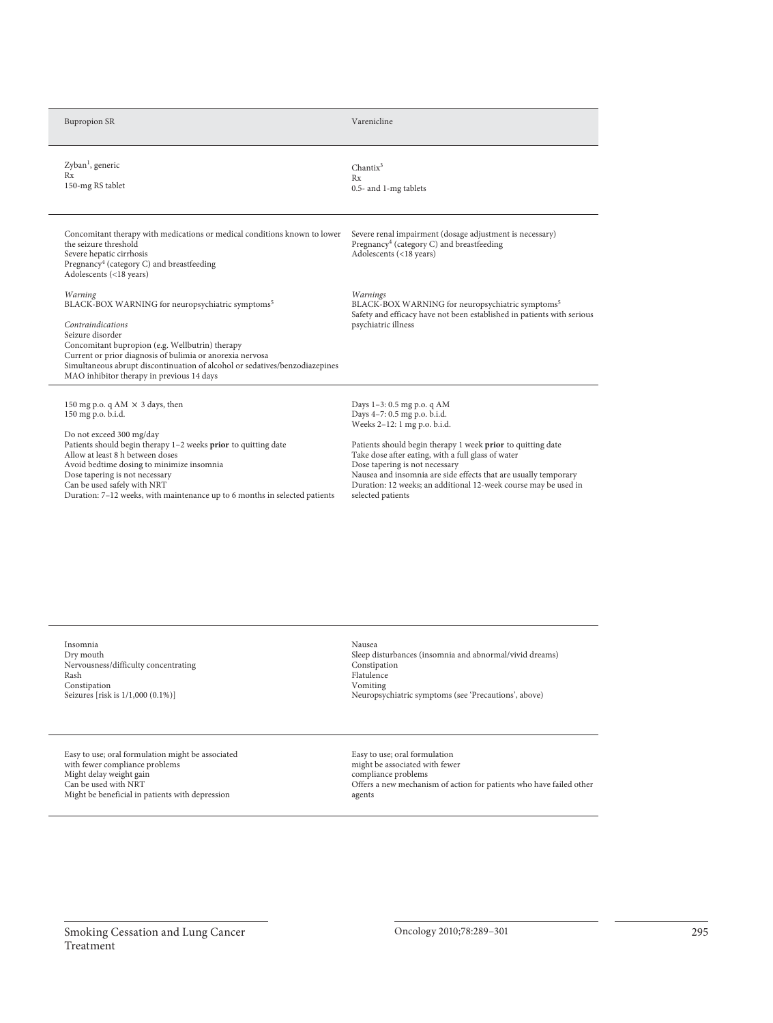| <b>Bupropion SR</b>                                                                                                                                                                                                                                                                                                                                                                        | Varenicline                                                                                                                                                                                                                                                                                                                                                                                                  |
|--------------------------------------------------------------------------------------------------------------------------------------------------------------------------------------------------------------------------------------------------------------------------------------------------------------------------------------------------------------------------------------------|--------------------------------------------------------------------------------------------------------------------------------------------------------------------------------------------------------------------------------------------------------------------------------------------------------------------------------------------------------------------------------------------------------------|
| Zyban <sup>1</sup> , generic<br>Rx<br>150-mg RS tablet                                                                                                                                                                                                                                                                                                                                     | Chantix <sup>3</sup><br>Rx<br>0.5- and 1-mg tablets                                                                                                                                                                                                                                                                                                                                                          |
| Concomitant therapy with medications or medical conditions known to lower<br>the seizure threshold<br>Severe hepatic cirrhosis<br>Pregnancy <sup>4</sup> (category C) and breastfeeding<br>Adolescents (<18 years)                                                                                                                                                                         | Severe renal impairment (dosage adjustment is necessary)<br>Pregnancy <sup>4</sup> (category C) and breastfeeding<br>Adolescents (<18 years)                                                                                                                                                                                                                                                                 |
| Warning<br>BLACK-BOX WARNING for neuropsychiatric symptoms <sup>5</sup><br>Contraindications<br>Seizure disorder<br>Concomitant bupropion (e.g. Wellbutrin) therapy<br>Current or prior diagnosis of bulimia or anorexia nervosa<br>Simultaneous abrupt discontinuation of alcohol or sedatives/benzodiazepines<br>MAO inhibitor therapy in previous 14 days                               | Warnings<br>BLACK-BOX WARNING for neuropsychiatric symptoms <sup>5</sup><br>Safety and efficacy have not been established in patients with serious<br>psychiatric illness                                                                                                                                                                                                                                    |
| 150 mg p.o. q AM $\times$ 3 days, then<br>150 mg p.o. b.i.d.<br>Do not exceed 300 mg/day<br>Patients should begin therapy 1-2 weeks prior to quitting date<br>Allow at least 8 h between doses<br>Avoid bedtime dosing to minimize insomnia<br>Dose tapering is not necessary<br>Can be used safely with NRT<br>Duration: 7-12 weeks, with maintenance up to 6 months in selected patients | Days 1-3: 0.5 mg p.o. q AM<br>Days 4-7: 0.5 mg p.o. b.i.d.<br>Weeks 2-12: 1 mg p.o. b.i.d.<br>Patients should begin therapy 1 week prior to quitting date<br>Take dose after eating, with a full glass of water<br>Dose tapering is not necessary<br>Nausea and insomnia are side effects that are usually temporary<br>Duration: 12 weeks; an additional 12-week course may be used in<br>selected patients |

Insomnia Dry mouth Nervousness/difficulty concentrating Rash Constipation Seizures [risk is  $1/1,000$  (0.1%)]

Easy to use; oral formulation might be associated with fewer compliance problems Might delay weight gain Can be used with NRT Might be beneficial in patients with depression

Duration: 7–12 weeks, with maintenance up to 6 months in selected patients

Nausea Sleep disturbances (insomnia and abnormal/vivid dreams) Constipation Flatulence Vomiting Neuropsychiatric symptoms (see 'Precautions', above)

Easy to use; oral formulation might be associated with fewer compliance problems Offers a new mechanism of action for patients who have failed other agents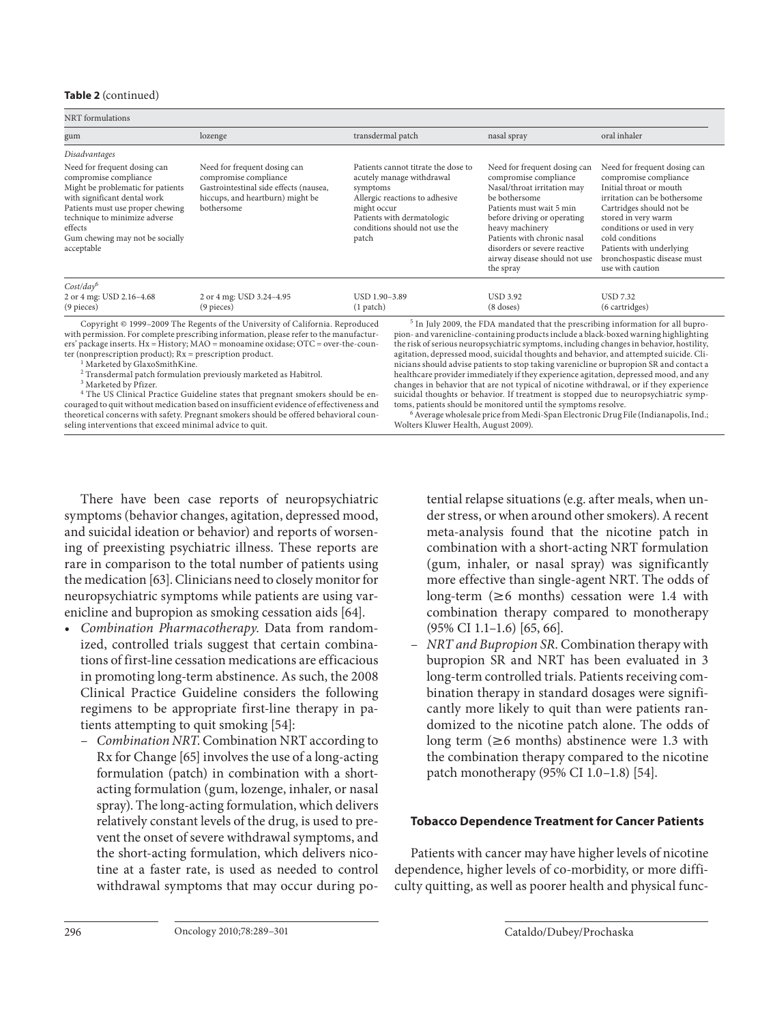#### **Table 2** (continued)

NRT formulations

| gum                                                                                                                                                                                                                                                         | lozenge                                                                                                                                                                                                                                                                                                                                                                                                                                                                                                                              | transdermal patch                                                                                                                                                                                     | nasal spray                                                                                                                                                                                                                                                                                                                                                                                                                                                                                                                                                                                                                                                                                                                                                                                                                                                                                          | oral inhaler                                                                                                                                                                                                                                                                                        |  |
|-------------------------------------------------------------------------------------------------------------------------------------------------------------------------------------------------------------------------------------------------------------|--------------------------------------------------------------------------------------------------------------------------------------------------------------------------------------------------------------------------------------------------------------------------------------------------------------------------------------------------------------------------------------------------------------------------------------------------------------------------------------------------------------------------------------|-------------------------------------------------------------------------------------------------------------------------------------------------------------------------------------------------------|------------------------------------------------------------------------------------------------------------------------------------------------------------------------------------------------------------------------------------------------------------------------------------------------------------------------------------------------------------------------------------------------------------------------------------------------------------------------------------------------------------------------------------------------------------------------------------------------------------------------------------------------------------------------------------------------------------------------------------------------------------------------------------------------------------------------------------------------------------------------------------------------------|-----------------------------------------------------------------------------------------------------------------------------------------------------------------------------------------------------------------------------------------------------------------------------------------------------|--|
| Disadvantages                                                                                                                                                                                                                                               |                                                                                                                                                                                                                                                                                                                                                                                                                                                                                                                                      |                                                                                                                                                                                                       |                                                                                                                                                                                                                                                                                                                                                                                                                                                                                                                                                                                                                                                                                                                                                                                                                                                                                                      |                                                                                                                                                                                                                                                                                                     |  |
| Need for frequent dosing can<br>compromise compliance<br>Might be problematic for patients<br>with significant dental work<br>Patients must use proper chewing<br>technique to minimize adverse<br>effects<br>Gum chewing may not be socially<br>acceptable | Need for frequent dosing can<br>compromise compliance<br>Gastrointestinal side effects (nausea,<br>hiccups, and heartburn) might be<br>bothersome                                                                                                                                                                                                                                                                                                                                                                                    | Patients cannot titrate the dose to<br>acutely manage withdrawal<br>symptoms<br>Allergic reactions to adhesive<br>might occur<br>Patients with dermatologic<br>conditions should not use the<br>patch | Need for frequent dosing can<br>compromise compliance<br>Nasal/throat irritation may<br>be bothersome<br>Patients must wait 5 min<br>before driving or operating<br>heavy machinery<br>Patients with chronic nasal<br>disorders or severe reactive<br>airway disease should not use<br>the spray                                                                                                                                                                                                                                                                                                                                                                                                                                                                                                                                                                                                     | Need for frequent dosing can<br>compromise compliance<br>Initial throat or mouth<br>irritation can be bothersome<br>Cartridges should not be<br>stored in very warm<br>conditions or used in very<br>cold conditions<br>Patients with underlying<br>bronchospastic disease must<br>use with caution |  |
| $Cost/day^6$<br>2 or 4 mg: USD 2.16-4.68<br>$(9$ pieces)                                                                                                                                                                                                    | 2 or 4 mg: USD 3.24-4.95<br>$(9$ pieces)                                                                                                                                                                                                                                                                                                                                                                                                                                                                                             | USD 1.90-3.89<br>$(1$ patch $)$                                                                                                                                                                       | <b>USD 3.92</b><br>$(8$ doses)                                                                                                                                                                                                                                                                                                                                                                                                                                                                                                                                                                                                                                                                                                                                                                                                                                                                       | <b>USD 7.32</b><br>(6 cartridges)                                                                                                                                                                                                                                                                   |  |
| ter (nonprescription product); $Rx = \text{prescription product.}$<br><sup>1</sup> Marketed by GlaxoSmithKine.<br><sup>3</sup> Marketed by Pfizer.                                                                                                          | Copyright © 1999-2009 The Regents of the University of California. Reproduced<br>with permission. For complete prescribing information, please refer to the manufactur-<br>ers' package inserts. Hx = History; MAO = monoamine oxidase; OTC = over-the-coun-<br><sup>2</sup> Transdermal patch formulation previously marketed as Habitrol.<br><sup>4</sup> The US Clinical Practice Guideline states that pregnant smokers should be en-<br>couraged to quit without medication based on insufficient evidence of effectiveness and |                                                                                                                                                                                                       | <sup>5</sup> In July 2009, the FDA mandated that the prescribing information for all bupro-<br>pion- and varenicline-containing products include a black-boxed warning highlighting<br>the risk of serious neuropsychiatric symptoms, including changes in behavior, hostility,<br>agitation, depressed mood, suicidal thoughts and behavior, and attempted suicide. Cli-<br>nicians should advise patients to stop taking varenicline or bupropion SR and contact a<br>healthcare provider immediately if they experience agitation, depressed mood, and any<br>changes in behavior that are not typical of nicotine withdrawal, or if they experience<br>suicidal thoughts or behavior. If treatment is stopped due to neuropsychiatric symp-<br>toms, patients should be monitored until the symptoms resolve.<br>the contract of the contract of the contract of the contract of the contract of |                                                                                                                                                                                                                                                                                                     |  |

theoretical concerns with safety. Pregnant smokers should be offered behavioral counseling interventions that exceed minimal advice to quit.

<sup>6</sup> Average wholesale price from Medi-Span Electronic Drug File (Indianapolis, Ind.; Wolters Kluwer Health, August 2009).

 There have been case reports of neuropsychiatric symptoms (behavior changes, agitation, depressed mood, and suicidal ideation or behavior) and reports of worsening of preexisting psychiatric illness. These reports are rare in comparison to the total number of patients using the medication [63] . Clinicians need to closely monitor for neuropsychiatric symptoms while patients are using varenicline and bupropion as smoking cessation aids [64] .

- Combination Pharmacotherapy. Data from randomized, controlled trials suggest that certain combinations of first-line cessation medications are efficacious in promoting long-term abstinence. As such, the 2008 Clinical Practice Guideline considers the following regimens to be appropriate first-line therapy in patients attempting to quit smoking [54] :
	- Combination NRT . Combination NRT according to Rx for Change [65] involves the use of a long-acting formulation (patch) in combination with a shortacting formulation (gum, lozenge, inhaler, or nasal spray). The long-acting formulation, which delivers relatively constant levels of the drug, is used to prevent the onset of severe withdrawal symptoms, and the short-acting formulation, which delivers nicotine at a faster rate, is used as needed to control withdrawal symptoms that may occur during po-

tential relapse situations (e.g. after meals, when under stress, or when around other smokers). A recent meta-analysis found that the nicotine patch in combination with a short-acting NRT formulation (gum, inhaler, or nasal spray) was significantly more effective than single-agent NRT. The odds of long-term ( $\geq 6$  months) cessation were 1.4 with combination therapy compared to monotherapy (95% CI 1.1–1.6) [65, 66] .

 – NRT and Bupropion SR . Combination therapy with bupropion SR and NRT has been evaluated in 3 long-term controlled trials. Patients receiving combination therapy in standard dosages were significantly more likely to quit than were patients randomized to the nicotine patch alone. The odds of long term  $(\geq 6$  months) abstinence were 1.3 with the combination therapy compared to the nicotine patch monotherapy (95% CI 1.0–1.8) [54] .

# **Tobacco Dependence Treatment for Cancer Patients**

 Patients with cancer may have higher levels of nicotine dependence, higher levels of co-morbidity, or more difficulty quitting, as well as poorer health and physical func-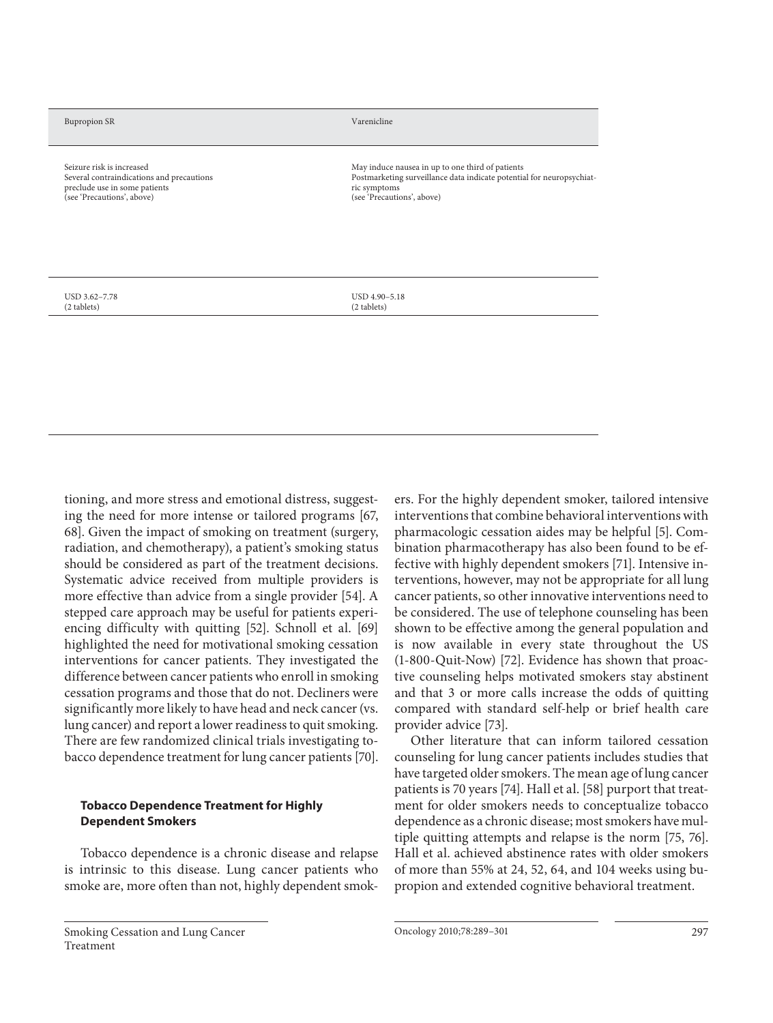#### Bupropion SR Varenicline

Seizure risk is increased Several contraindications and precautions preclude use in some patients (see 'Precautions', above)

May induce nausea in up to one third of patients Postmarketing surveillance data indicate potential for neuropsychiatric symptoms (see 'Precautions', above)

USD 3.62–7.78 (2 tablets)

USD 4.90–5.18 (2 tablets)

tioning, and more stress and emotional distress, suggesting the need for more intense or tailored programs [67, 68]. Given the impact of smoking on treatment (surgery, radiation, and chemotherapy), a patient's smoking status should be considered as part of the treatment decisions. Systematic advice received from multiple providers is more effective than advice from a single provider [54]. A stepped care approach may be useful for patients experiencing difficulty with quitting [52]. Schnoll et al. [69] highlighted the need for motivational smoking cessation interventions for cancer patients. They investigated the difference between cancer patients who enroll in smoking cessation programs and those that do not. Decliners were significantly more likely to have head and neck cancer (vs. lung cancer) and report a lower readiness to quit smoking. There are few randomized clinical trials investigating tobacco dependence treatment for lung cancer patients [70] .

#### **Tobacco Dependence Treatment for Highly Dependent Smokers**

 Tobacco dependence is a chronic disease and relapse is intrinsic to this disease. Lung cancer patients who smoke are, more often than not, highly dependent smokers. For the highly dependent smoker, tailored intensive interventions that combine behavioral interventions with pharmacologic cessation aides may be helpful [5]. Combination pharmacotherapy has also been found to be effective with highly dependent smokers [71]. Intensive interventions, however, may not be appropriate for all lung cancer patients, so other innovative interventions need to be considered. The use of telephone counseling has been shown to be effective among the general population and is now available in every state throughout the US (1-800-Quit-Now) [72] . Evidence has shown that proactive counseling helps motivated smokers stay abstinent and that 3 or more calls increase the odds of quitting compared with standard self-help or brief health care provider advice [73].

 Other literature that can inform tailored cessation counseling for lung cancer patients includes studies that have targeted older smokers. The mean age of lung cancer patients is 70 years [74]. Hall et al. [58] purport that treatment for older smokers needs to conceptualize tobacco dependence as a chronic disease; most smokers have multiple quitting attempts and relapse is the norm [75, 76]. Hall et al. achieved abstinence rates with older smokers of more than 55% at 24, 52, 64, and 104 weeks using bupropion and extended cognitive behavioral treatment.

Oncology 2010;78:289–301 297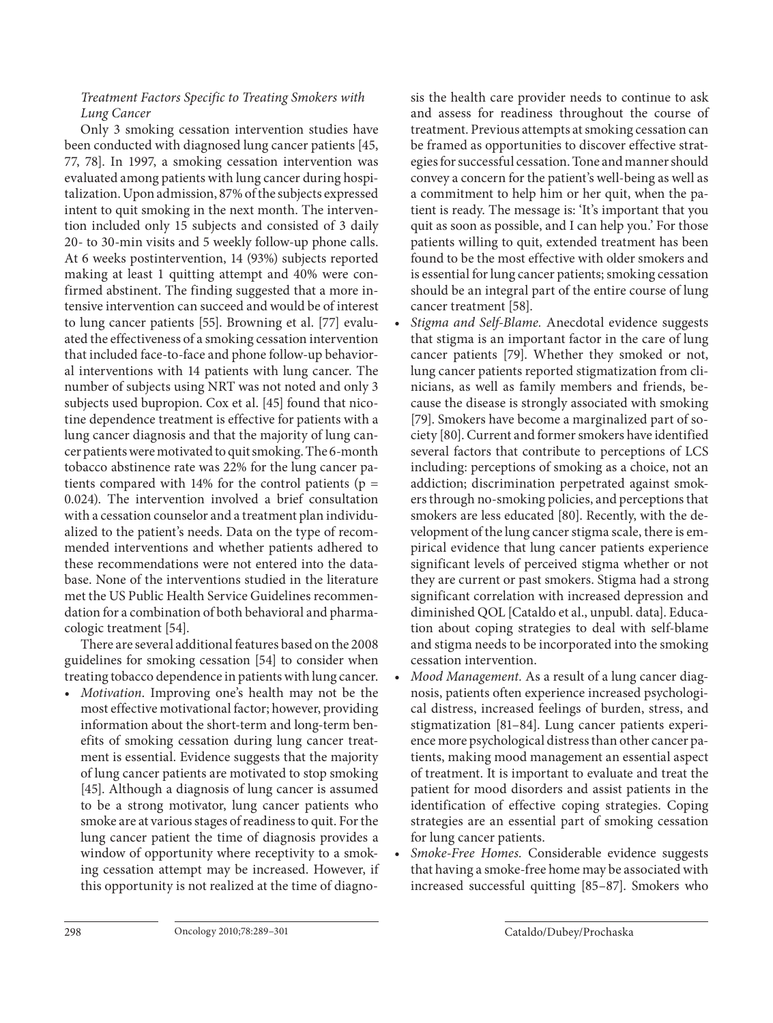# Treatment Factors Specific to Treating Smokers with Lung Cancer

 Only 3 smoking cessation intervention studies have been conducted with diagnosed lung cancer patients [45, 77, 78]. In 1997, a smoking cessation intervention was evaluated among patients with lung cancer during hospitalization. Upon admission, 87% of the subjects expressed intent to quit smoking in the next month. The intervention included only 15 subjects and consisted of 3 daily 20- to 30-min visits and 5 weekly follow-up phone calls. At 6 weeks postintervention, 14 (93%) subjects reported making at least 1 quitting attempt and 40% were confirmed abstinent. The finding suggested that a more intensive intervention can succeed and would be of interest to lung cancer patients [55]. Browning et al. [77] evaluated the effectiveness of a smoking cessation intervention that included face-to-face and phone follow-up behavioral interventions with 14 patients with lung cancer. The number of subjects using NRT was not noted and only 3 subjects used bupropion. Cox et al. [45] found that nicotine dependence treatment is effective for patients with a lung cancer diagnosis and that the majority of lung cancer patients were motivated to quit smoking. The 6-month tobacco abstinence rate was 22% for the lung cancer patients compared with 14% for the control patients ( $p =$ 0.024). The intervention involved a brief consultation with a cessation counselor and a treatment plan individualized to the patient's needs. Data on the type of recommended interventions and whether patients adhered to these recommendations were not entered into the database. None of the interventions studied in the literature met the US Public Health Service Guidelines recommendation for a combination of both behavioral and pharmacologic treatment [54].

 There are several additional features based on the 2008 guidelines for smoking cessation [54] to consider when treating tobacco dependence in patients with lung cancer.

• Motivation. Improving one's health may not be the most effective motivational factor; however, providing information about the short-term and long-term benefits of smoking cessation during lung cancer treatment is essential. Evidence suggests that the majority of lung cancer patients are motivated to stop smoking [45]. Although a diagnosis of lung cancer is assumed to be a strong motivator, lung cancer patients who smoke are at various stages of readiness to quit. For the lung cancer patient the time of diagnosis provides a window of opportunity where receptivity to a smoking cessation attempt may be increased. However, if this opportunity is not realized at the time of diagnosis the health care provider needs to continue to ask and assess for readiness throughout the course of treatment. Previous attempts at smoking cessation can be framed as opportunities to discover effective strategies for successful cessation. Tone and manner should convey a concern for the patient's well-being as well as a commitment to help him or her quit, when the patient is ready. The message is: 'It's important that you quit as soon as possible, and I can help you.' For those patients willing to quit, extended treatment has been found to be the most effective with older smokers and is essential for lung cancer patients; smoking cessation should be an integral part of the entire course of lung cancer treatment [58].

- Stigma and Self-Blame. Anecdotal evidence suggests that stigma is an important factor in the care of lung cancer patients [79]. Whether they smoked or not, lung cancer patients reported stigmatization from clinicians, as well as family members and friends, because the disease is strongly associated with smoking [79]. Smokers have become a marginalized part of society [80]. Current and former smokers have identified several factors that contribute to perceptions of LCS including: perceptions of smoking as a choice, not an addiction; discrimination perpetrated against smokers through no-smoking policies, and perceptions that smokers are less educated [80]. Recently, with the development of the lung cancer stigma scale, there is empirical evidence that lung cancer patients experience significant levels of perceived stigma whether or not they are current or past smokers. Stigma had a strong significant correlation with increased depression and diminished QOL [Cataldo et al., unpubl. data]. Education about coping strategies to deal with self-blame and stigma needs to be incorporated into the smoking cessation intervention.
- Mood Management. As a result of a lung cancer diagnosis, patients often experience increased psychological distress, increased feelings of burden, stress, and stigmatization [81–84]. Lung cancer patients experience more psychological distress than other cancer patients, making mood management an essential aspect of treatment. It is important to evaluate and treat the patient for mood disorders and assist patients in the identification of effective coping strategies. Coping strategies are an essential part of smoking cessation for lung cancer patients.
- Smoke-Free Homes. Considerable evidence suggests that having a smoke-free home may be associated with increased successful quitting [85-87]. Smokers who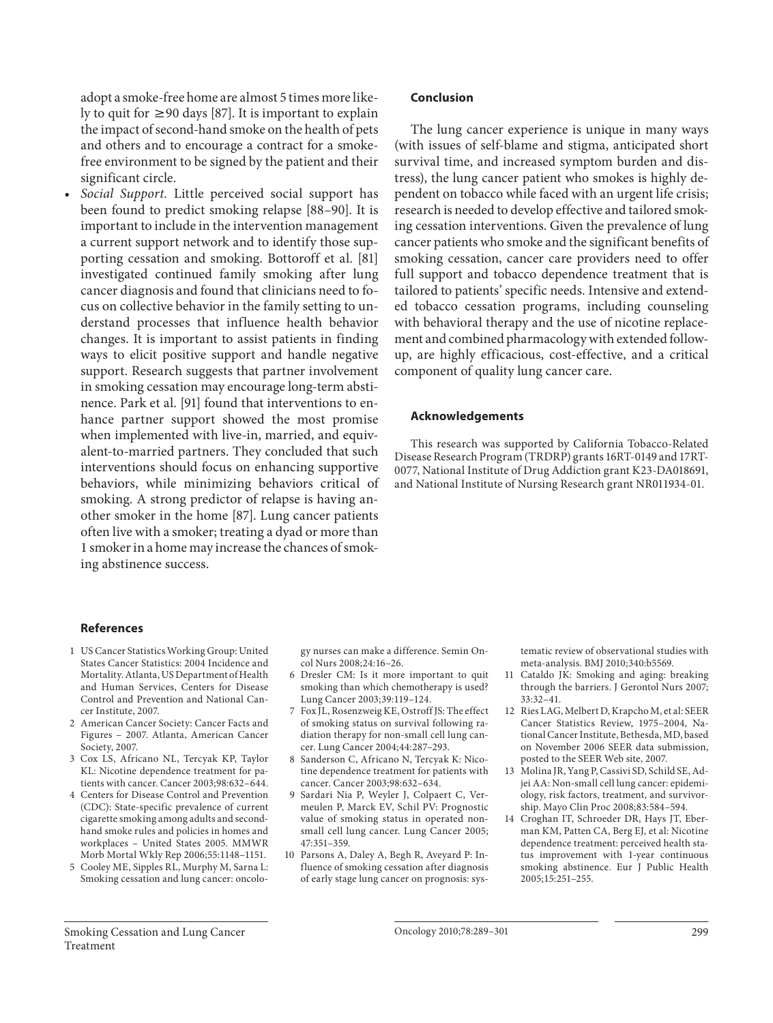adopt a smoke-free home are almost 5 times more likely to quit for  $\geq 90$  days [87]. It is important to explain the impact of second-hand smoke on the health of pets and others and to encourage a contract for a smokefree environment to be signed by the patient and their significant circle.

Social Support. Little perceived social support has been found to predict smoking relapse [88–90]. It is important to include in the intervention management a current support network and to identify those supporting cessation and smoking. Bottoroff et al. [81] investigated continued family smoking after lung cancer diagnosis and found that clinicians need to focus on collective behavior in the family setting to understand processes that influence health behavior changes. It is important to assist patients in finding ways to elicit positive support and handle negative support. Research suggests that partner involvement in smoking cessation may encourage long-term abstinence. Park et al. [91] found that interventions to enhance partner support showed the most promise when implemented with live-in, married, and equivalent-to-married partners. They concluded that such interventions should focus on enhancing supportive behaviors, while minimizing behaviors critical of smoking. A strong predictor of relapse is having another smoker in the home [87]. Lung cancer patients often live with a smoker; treating a dyad or more than 1 smoker in a home may increase the chances of smoking abstinence success.

#### **Conclusion**

 The lung cancer experience is unique in many ways (with issues of self-blame and stigma, anticipated short survival time, and increased symptom burden and distress), the lung cancer patient who smokes is highly dependent on tobacco while faced with an urgent life crisis; research is needed to develop effective and tailored smoking cessation interventions. Given the prevalence of lung cancer patients who smoke and the significant benefits of smoking cessation, cancer care providers need to offer full support and tobacco dependence treatment that is tailored to patients' specific needs. Intensive and extended tobacco cessation programs, including counseling with behavioral therapy and the use of nicotine replacement and combined pharmacology with extended followup, are highly efficacious, cost-effective, and a critical component of quality lung cancer care.

#### **Acknowledgements**

 This research was supported by California Tobacco-Related Disease Research Program (TRDRP) grants 16RT-0149 and 17RT-0077, National Institute of Drug Addiction grant K23-DA018691, and National Institute of Nursing Research grant NR011934-01.

#### **References**

- 1 US Cancer Statistics Working Group: United States Cancer Statistics: 2004 Incidence and Mortality. Atlanta, US Department of Health and Human Services, Centers for Disease Control and Prevention and National Cancer Institute, 2007.
- 2 American Cancer Society: Cancer Facts and Figures – 2007. Atlanta, American Cancer Society, 2007.
- 3 Cox LS, Africano NL, Tercyak KP, Taylor KL: Nicotine dependence treatment for patients with cancer. Cancer 2003; 98: 632–644.
- 4 Centers for Disease Control and Prevention (CDC): State-specific prevalence of current cigarette smoking among adults and secondhand smoke rules and policies in homes and workplaces – United States 2005. MMWR Morb Mortal Wkly Rep 2006; 55: 1148–1151.
- 5 Cooley ME, Sipples RL, Murphy M, Sarna L: Smoking cessation and lung cancer: oncolo-

gy nurses can make a difference. Semin Oncol Nurs 2008; 24: 16–26.

- 6 Dresler CM: Is it more important to quit smoking than which chemotherapy is used? Lung Cancer 2003; 39: 119–124.
- 7 Fox JL, Rosenzweig KE, Ostroff JS: The effect of smoking status on survival following radiation therapy for non-small cell lung cancer. Lung Cancer 2004; 44: 287–293.
- 8 Sanderson C, Africano N, Tercyak K: Nicotine dependence treatment for patients with cancer. Cancer 2003;98:632-634.
- 9 Sardari Nia P, Weyler J, Colpaert C, Vermeulen P, Marck EV, Schil PV: Prognostic value of smoking status in operated nonsmall cell lung cancer. Lung Cancer 2005; 47: 351–359.
- 10 Parsons A, Daley A, Begh R, Aveyard P: Influence of smoking cessation after diagnosis of early stage lung cancer on prognosis: sys-

tematic review of observational studies with meta-analysis. BMJ 2010; 340:b5569.

- 11 Cataldo JK: Smoking and aging: breaking through the barriers. J Gerontol Nurs 2007;  $33:32-41$ .
- 12 Ries LAG, Melbert D, Krapcho M, et al: SEER Cancer Statistics Review, 1975–2004, National Cancer Institute, Bethesda, MD, based on November 2006 SEER data submission, posted to the SEER Web site, 2007.
- 13 Molina JR, Yang P, Cassivi SD, Schild SE, Adjei AA: Non-small cell lung cancer: epidemiology, risk factors, treatment, and survivorship. Mayo Clin Proc 2008; 83: 584–594.
- 14 Croghan IT, Schroeder DR, Hays JT, Eberman KM, Patten CA, Berg EJ, et al: Nicotine dependence treatment: perceived health status improvement with 1-year continuous smoking abstinence. Eur J Public Health 2005; 15: 251–255.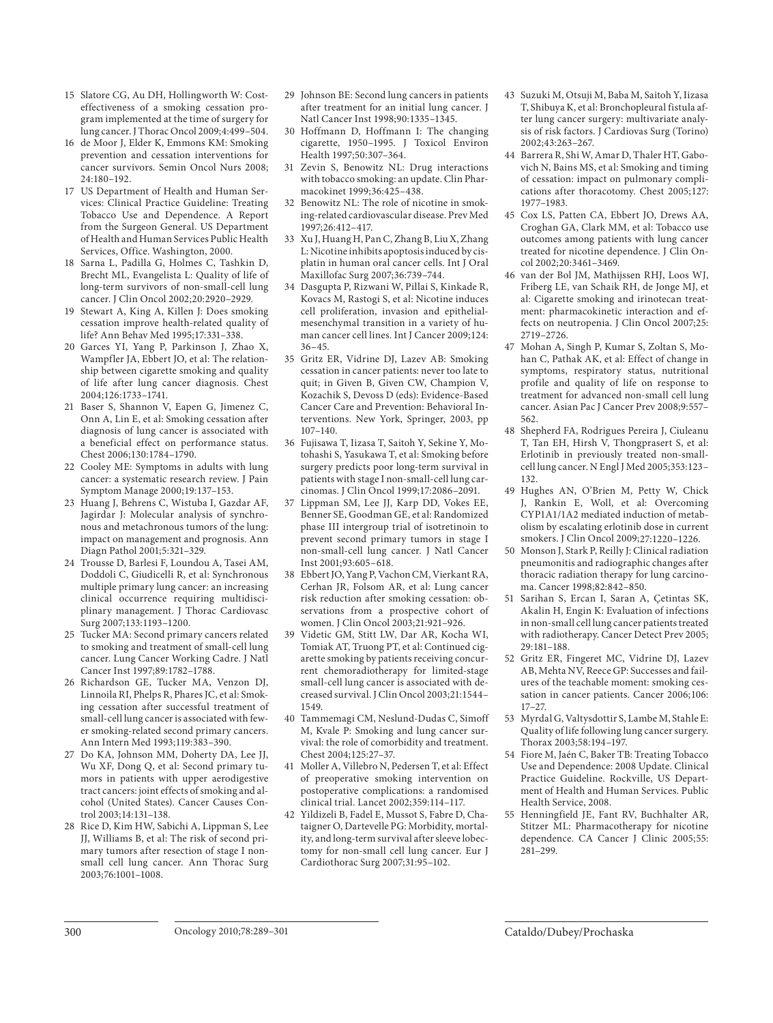- 15 Slatore CG, Au DH, Hollingworth W: Costeffectiveness of a smoking cessation program implemented at the time of surgery for lung cancer. J Thorac Oncol 2009; 4: 499–504.
- 16 de Moor J, Elder K, Emmons KM: Smoking prevention and cessation interventions for cancer survivors. Semin Oncol Nurs 2008;  $24.180 - 192$
- 17 US Department of Health and Human Services: Clinical Practice Guideline: Treating Tobacco Use and Dependence. A Report from the Surgeon General. US Department of Health and Human Services Public Health Services, Office. Washington, 2000.
- 18 Sarna L, Padilla G, Holmes C, Tashkin D, Brecht ML, Evangelista L: Quality of life of long-term survivors of non-small-cell lung cancer. J Clin Oncol 2002;20:2920-2929.
- 19 Stewart A, King A, Killen J: Does smoking cessation improve health-related quality of life? Ann Behav Med 1995; 17: 331–338.
- 20 Garces YI, Yang P, Parkinson J, Zhao X, Wampfler JA, Ebbert JO, et al: The relationship between cigarette smoking and quality of life after lung cancer diagnosis. Chest 2004; 126: 1733–1741.
- 21 Baser S, Shannon V, Eapen G, Jimenez C, Onn A, Lin E, et al: Smoking cessation after diagnosis of lung cancer is associated with a beneficial effect on performance status. Chest 2006; 130: 1784–1790.
- 22 Cooley ME: Symptoms in adults with lung cancer: a systematic research review. J Pain Symptom Manage 2000; 19: 137–153.
- 23 Huang J, Behrens C, Wistuba I, Gazdar AF, Jagirdar J: Molecular analysis of synchronous and metachronous tumors of the lung: impact on management and prognosis. Ann Diagn Pathol 2001; 5: 321–329.
- 24 Trousse D, Barlesi F, Loundou A, Tasei AM, Doddoli C, Giudicelli R, et al: Synchronous multiple primary lung cancer: an increasing clinical occurrence requiring multidisciplinary management. J Thorac Cardiovasc Surg 2007; 133: 1193–1200.
- 25 Tucker MA: Second primary cancers related to smoking and treatment of small-cell lung cancer. Lung Cancer Working Cadre. J Natl Cancer Inst 1997; 89: 1782–1788.
- 26 Richardson GE, Tucker MA, Venzon DJ, Linnoila RI, Phelps R, Phares JC, et al: Smoking cessation after successful treatment of small-cell lung cancer is associated with fewer smoking-related second primary cancers. Ann Intern Med 1993; 119: 383–390.
- 27 Do KA, Johnson MM, Doherty DA, Lee JJ, Wu XF, Dong Q, et al: Second primary tumors in patients with upper aerodigestive tract cancers: joint effects of smoking and alcohol (United States). Cancer Causes Control 2003; 14: 131–138.
- 28 Rice D, Kim HW, Sabichi A, Lippman S, Lee JJ, Williams B, et al: The risk of second primary tumors after resection of stage I nonsmall cell lung cancer. Ann Thorac Surg 2003; 76:1001–1008.
- Johnson BE: Second lung cancers in patients after treatment for an initial lung cancer. J Natl Cancer Inst 1998;90:1335-1345.
- 30 Hoffmann D, Hoffmann I: The changing cigarette, 1950–1995. J Toxicol Environ Health 1997;50:307-364.
- 31 Zevin S, Benowitz NL: Drug interactions with tobacco smoking: an update. Clin Pharmacokinet 1999;36:425-438.
- 32 Benowitz NL: The role of nicotine in smoking-related cardiovascular disease. Prev Med 1997; 26: 412–417.
- 33 Xu J, Huang H, Pan C, Zhang B, Liu X, Zhang L: Nicotine inhibits apoptosis induced by cisplatin in human oral cancer cells. Int J Oral Maxillofac Surg 2007; 36: 739–744.
- 34 Dasgupta P, Rizwani W, Pillai S, Kinkade R, Kovacs M, Rastogi S, et al: Nicotine induces cell proliferation, invasion and epithelialmesenchymal transition in a variety of human cancer cell lines. Int J Cancer 2009; 124: 36–45.
- 35 Gritz ER, Vidrine DJ, Lazev AB: Smoking cessation in cancer patients: never too late to quit; in Given B, Given CW, Champion V, Kozachik S, Devoss D (eds): Evidence-Based Cancer Care and Prevention: Behavioral Interventions. New York, Springer, 2003, pp 107–140.
- 36 Fujisawa T, Iizasa T, Saitoh Y, Sekine Y, Motohashi S, Yasukawa T, et al: Smoking before surgery predicts poor long-term survival in patients with stage I non-small-cell lung carcinomas. J Clin Oncol 1999; 17: 2086–2091.
- 37 Lippman SM, Lee JJ, Karp DD, Vokes EE, Benner SE, Goodman GE, et al: Randomized phase III intergroup trial of isotretinoin to prevent second primary tumors in stage I non-small-cell lung cancer. J Natl Cancer Inst 2001;93:605-618.
- 38 Ebbert JO, Yang P, Vachon CM, Vierkant RA, Cerhan JR, Folsom AR, et al: Lung cancer risk reduction after smoking cessation: observations from a prospective cohort of women. J Clin Oncol 2003;21:921-926.
- 39 Videtic GM, Stitt LW, Dar AR, Kocha WI, Tomiak AT, Truong PT, et al: Continued cigarette smoking by patients receiving concurrent chemoradiotherapy for limited-stage small-cell lung cancer is associated with decreased survival. J Clin Oncol 2003; 21: 1544– 1549.
- 40 Tammemagi CM, Neslund-Dudas C, Simoff M, Kvale P: Smoking and lung cancer survival: the role of comorbidity and treatment. Chest 2004;125:27-37.
- 41 Moller A, Villebro N, Pedersen T, et al: Effect of preoperative smoking intervention on postoperative complications: a randomised clinical trial. Lancet 2002; 359: 114–117.
- 42 Yildizeli B, Fadel E, Mussot S, Fabre D, Chataigner O, Dartevelle PG: Morbidity, mortality, and long-term survival after sleeve lobectomy for non-small cell lung cancer. Eur J Cardiothorac Surg 2007;31:95-102.
- 43 Suzuki M, Otsuji M, Baba M, Saitoh Y, Iizasa T, Shibuya K, et al: Bronchopleural fistula after lung cancer surgery: multivariate analysis of risk factors. J Cardiovas Surg (Torino) 2002; 43: 263–267.
- 44 Barrera R, Shi W, Amar D, Thaler HT, Gabovich N, Bains MS, et al: Smoking and timing of cessation: impact on pulmonary complications after thoracotomy. Chest 2005; 127: 1977–1983.
- 45 Cox LS, Patten CA, Ebbert JO, Drews AA, Croghan GA, Clark MM, et al: Tobacco use outcomes among patients with lung cancer treated for nicotine dependence. J Clin Oncol 2002; 20: 3461–3469.
- 46 van der Bol JM, Mathijssen RHJ, Loos WJ, Friberg LE, van Schaik RH, de Jonge MJ, et al: Cigarette smoking and irinotecan treatment: pharmacokinetic interaction and effects on neutropenia. J Clin Oncol 2007;25: 2719–2726.
- 47 Mohan A, Singh P, Kumar S, Zoltan S, Mohan C, Pathak AK, et al: Effect of change in symptoms, respiratory status, nutritional profile and quality of life on response to treatment for advanced non-small cell lung cancer. Asian Pac J Cancer Prev 2008;9:557-562.
- 48 Shepherd FA, Rodrigues Pereira J, Ciuleanu T, Tan EH, Hirsh V, Thongprasert S, et al: Erlotinib in previously treated non-smallcell lung cancer. N Engl J Med 2005; 353: 123– 132.
- 49 Hughes AN, O'Brien M, Petty W, Chick J, Rankin E, Woll, et al: Overcoming CYP1A1/1A2 mediated induction of metabolism by escalating erlotinib dose in current smokers. J Clin Oncol 2009; 27: 1220–1226.
- 50 Monson J, Stark P, Reilly J: Clinical radiation pneumonitis and radiographic changes after thoracic radiation therapy for lung carcinoma. Cancer 1998;82:842-850.
- 51 Sarihan S, Ercan I, Saran A, Çetintas SK, Akalin H, Engin K: Evaluation of infections in non-small cell lung cancer patients treated with radiotherapy. Cancer Detect Prev 2005; 29: 181–188.
- 52 Gritz ER, Fingeret MC, Vidrine DJ, Lazev AB, Mehta NV, Reece GP: Successes and failures of the teachable moment: smoking cessation in cancer patients. Cancer 2006; 106: 17–27.
- 53 Myrdal G, Valtysdottir S, Lambe M, Stahle E: Quality of life following lung cancer surgery. Thorax 2003; 58: 194–197.
- 54 Fiore M, Jaén C, Baker TB: Treating Tobacco Use and Dependence: 2008 Update. Clinical Practice Guideline. Rockville, US Department of Health and Human Services. Public Health Service, 2008.
- 55 Henningfield JE, Fant RV, Buchhalter AR, Stitzer ML: Pharmacotherapy for nicotine dependence. CA Cancer J Clinic 2005;55: 281–299.